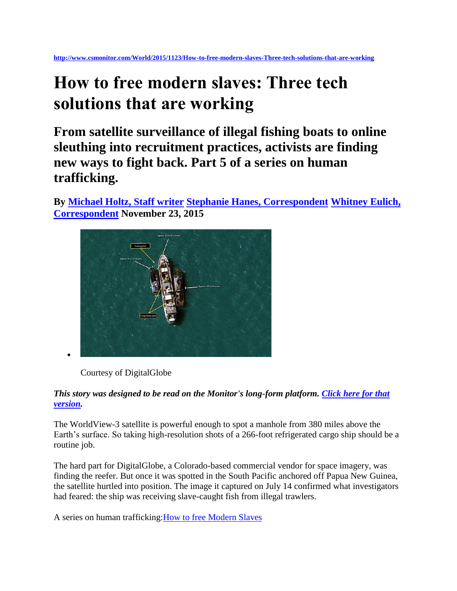**<http://www.csmonitor.com/World/2015/1123/How-to-free-modern-slaves-Three-tech-solutions-that-are-working>**

# **How to free modern slaves: Three tech solutions that are working**

**From satellite surveillance of illegal fishing boats to online sleuthing into recruitment practices, activists are finding new ways to fight back. Part 5 of a series on human trafficking.**

**By [Michael Holtz, Staff writer](http://www.csmonitor.com/World/2015/1123/How-to-free-modern-slaves-Three-tech-solutions-that-are-working) [Stephanie Hanes, Correspondent](http://www.csmonitor.com/World/2015/1123/How-to-free-modern-slaves-Three-tech-solutions-that-are-working) [Whitney Eulich,](http://www.csmonitor.com/World/2015/1123/How-to-free-modern-slaves-Three-tech-solutions-that-are-working)  [Correspondent](http://www.csmonitor.com/World/2015/1123/How-to-free-modern-slaves-Three-tech-solutions-that-are-working) November 23, 2015** 



Courtesy of DigitalGlobe

#### *This story was designed to be read on the Monitor's long-form platform. [Click here for that](http://humantrafficking.csmonitor.com/three-tech-solutions-that-are-working)  [version.](http://humantrafficking.csmonitor.com/three-tech-solutions-that-are-working)*

The WorldView-3 satellite is powerful enough to spot a manhole from 380 miles above the Earth's surface. So taking high-resolution shots of a 266-foot refrigerated cargo ship should be a routine job.

The hard part for DigitalGlobe, a Colorado-based commercial vendor for space imagery, was finding the reefer. But once it was spotted in the South Pacific anchored off Papua New Guinea, the satellite hurtled into position. The image it captured on July 14 confirmed what investigators had feared: the ship was receiving slave-caught fish from illegal trawlers.

A series on human trafficking[:How to free Modern Slaves](http://www.csmonitor.com/World/Topics/Human-Trafficking-Series)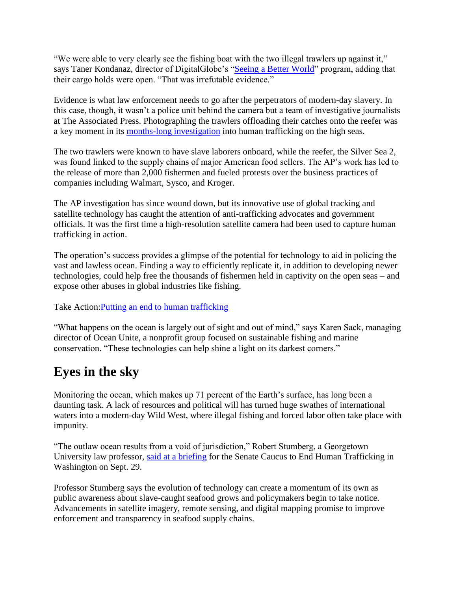"We were able to very clearly see the fishing boat with the two illegal trawlers up against it," says Taner Kondanaz, director of DigitalGlobe's ["Seeing a Better World"](https://www.digitalglobe.com/industries/global-development) program, adding that their cargo holds were open. "That was irrefutable evidence."

Evidence is what law enforcement needs to go after the perpetrators of modern-day slavery. In this case, though, it wasn't a police unit behind the camera but a team of investigative journalists at The Associated Press. Photographing the trawlers offloading their catches onto the reefer was a key moment in its [months-long investigation](http://bigstory.ap.org/article/c2fe8406ff7145a8b484deae3f748aa5/ap-tracks-missing-slave-fishing-boats-papua-new-guinea) into human trafficking on the high seas.

The two trawlers were known to have slave laborers onboard, while the reefer, the Silver Sea 2, was found linked to the supply chains of major American food sellers. The AP's work has led to the release of more than 2,000 fishermen and fueled protests over the business practices of companies including Walmart, Sysco, and Kroger.

The AP investigation has since wound down, but its innovative use of global tracking and satellite technology has caught the attention of anti-trafficking advocates and government officials. It was the first time a high-resolution satellite camera had been used to capture human trafficking in action.

The operation's success provides a glimpse of the potential for technology to aid in policing the vast and lawless ocean. Finding a way to efficiently replicate it, in addition to developing newer technologies, could help free the thousands of fishermen held in captivity on the open seas – and expose other abuses in global industries like fishing.

Take Action[:Putting an end to human trafficking](http://www.csmonitor.com/Take-Action/Human-Trafficking)

"What happens on the ocean is largely out of sight and out of mind," says Karen Sack, managing director of Ocean Unite, a nonprofit group focused on sustainable fishing and marine conservation. "These technologies can help shine a light on its darkest corners."

## **Eyes in the sky**

Monitoring the ocean, which makes up 71 percent of the Earth's surface, has long been a daunting task. A lack of resources and political will has turned huge swathes of international waters into a modern-day Wild West, where illegal fishing and forced labor often take place with impunity.

"The outlaw ocean results from a void of jurisdiction," Robert Stumberg, a Georgetown University law professor, [said at a briefing](https://www.youtube.com/watch?v=o22lY3L7gIo) for the Senate Caucus to End Human Trafficking in Washington on Sept. 29.

Professor Stumberg says the evolution of technology can create a momentum of its own as public awareness about slave-caught seafood grows and policymakers begin to take notice. Advancements in satellite imagery, remote sensing, and digital mapping promise to improve enforcement and transparency in seafood supply chains.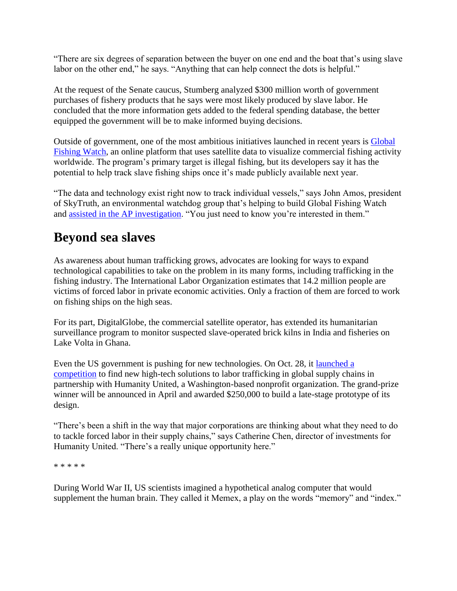"There are six degrees of separation between the buyer on one end and the boat that's using slave labor on the other end," he says. "Anything that can help connect the dots is helpful."

At the request of the Senate caucus, Stumberg analyzed \$300 million worth of government purchases of fishery products that he says were most likely produced by slave labor. He concluded that the more information gets added to the federal spending database, the better equipped the government will be to make informed buying decisions.

Outside of government, one of the most ambitious initiatives launched in recent years is [Global](http://globalfishingwatch.org/)  [Fishing Watch,](http://globalfishingwatch.org/) an online platform that uses satellite data to visualize commercial fishing activity worldwide. The program's primary target is illegal fishing, but its developers say it has the potential to help track slave fishing ships once it's made publicly available next year.

"The data and technology exist right now to track individual vessels," says John Amos, president of SkyTruth, an environmental watchdog group that's helping to build Global Fishing Watch and [assisted in the AP investigation.](http://blog.skytruth.org/2015/08/data-analysis-slavery-investigation.html) "You just need to know you're interested in them."

### **Beyond sea slaves**

As awareness about human trafficking grows, advocates are looking for ways to expand technological capabilities to take on the problem in its many forms, including trafficking in the fishing industry. The International Labor Organization estimates that 14.2 million people are victims of forced labor in private economic activities. Only a fraction of them are forced to work on fishing ships on the high seas.

For its part, DigitalGlobe, the commercial satellite operator, has extended its humanitarian surveillance program to monitor suspected slave-operated brick kilns in India and fisheries on Lake Volta in Ghana.

Even the US government is pushing for new technologies. On Oct. 28, it [launched a](https://www.partnershipforfreedom.org/rethinksupplychains/)  [competition](https://www.partnershipforfreedom.org/rethinksupplychains/) to find new high-tech solutions to labor trafficking in global supply chains in partnership with Humanity United, a Washington-based nonprofit organization. The grand-prize winner will be announced in April and awarded \$250,000 to build a late-stage prototype of its design.

"There's been a shift in the way that major corporations are thinking about what they need to do to tackle forced labor in their supply chains," says Catherine Chen, director of investments for Humanity United. "There's a really unique opportunity here."

\* \* \* \* \*

During World War II, US scientists imagined a hypothetical analog computer that would supplement the human brain. They called it Memex, a play on the words "memory" and "index."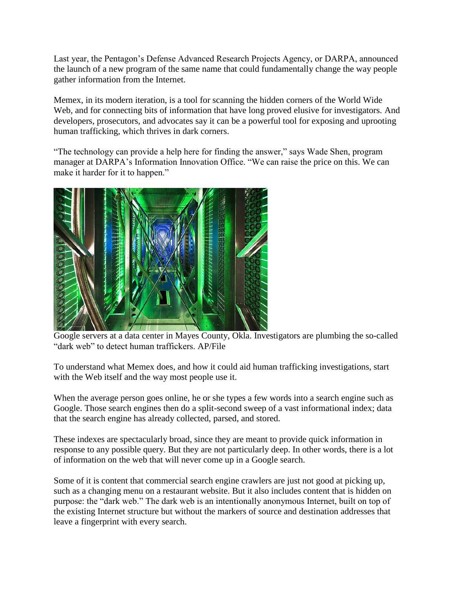Last year, the Pentagon's Defense Advanced Research Projects Agency, or DARPA, announced the launch of a new program of the same name that could fundamentally change the way people gather information from the Internet.

Memex, in its modern iteration, is a tool for scanning the hidden corners of the World Wide Web, and for connecting bits of information that have long proved elusive for investigators. And developers, prosecutors, and advocates say it can be a powerful tool for exposing and uprooting human trafficking, which thrives in dark corners.

"The technology can provide a help here for finding the answer," says Wade Shen, program manager at DARPA's Information Innovation Office. "We can raise the price on this. We can make it harder for it to happen."



Google servers at a data center in Mayes County, Okla. Investigators are plumbing the so-called "dark web" to detect human traffickers. AP/File

To understand what Memex does, and how it could aid human trafficking investigations, start with the Web itself and the way most people use it.

When the average person goes online, he or she types a few words into a search engine such as Google. Those search engines then do a split-second sweep of a vast informational index; data that the search engine has already collected, parsed, and stored.

These indexes are spectacularly broad, since they are meant to provide quick information in response to any possible query. But they are not particularly deep. In other words, there is a lot of information on the web that will never come up in a Google search.

Some of it is content that commercial search engine crawlers are just not good at picking up, such as a changing menu on a restaurant website. But it also includes content that is hidden on purpose: the "dark web." The dark web is an intentionally anonymous Internet, built on top of the existing Internet structure but without the markers of source and destination addresses that leave a fingerprint with every search.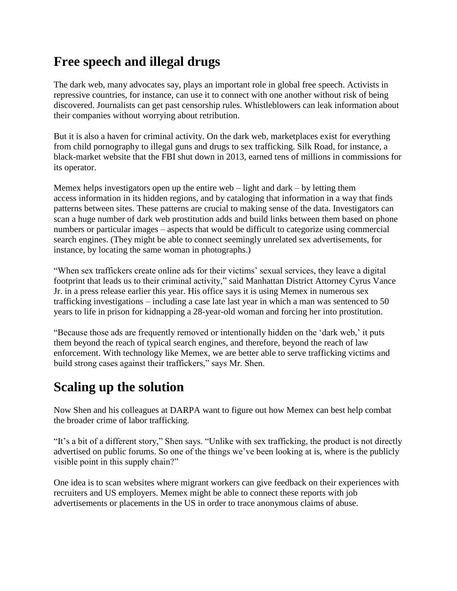#### **Free speech and illegal drugs**

The dark web, many advocates say, plays an important role in global free speech. Activists in repressive countries, for instance, can use it to connect with one another without risk of being discovered. Journalists can get past censorship rules. Whistleblowers can leak information about their companies without worrying about retribution.

But it is also a haven for criminal activity. On the dark web, marketplaces exist for everything from child pornography to illegal guns and drugs to sex trafficking. Silk Road, for instance, a black-market website that the FBI shut down in 2013, earned tens of millions in commissions for its operator.

Memex helps investigators open up the entire web  $-$  light and dark  $-$  by letting them access information in its hidden regions, and by cataloging that information in a way that finds patterns between sites. These patterns are crucial to making sense of the data. Investigators can scan a huge number of dark web prostitution adds and build links between them based on phone numbers or particular images – aspects that would be difficult to categorize using commercial search engines. (They might be able to connect seemingly unrelated sex advertisements, for instance, by locating the same woman in photographs.)

"When sex traffickers create online ads for their victims' sexual services, they leave a digital footprint that leads us to their criminal activity," said Manhattan District Attorney Cyrus Vance Jr. in a press release earlier this year. His office says it is using Memex in numerous sex trafficking investigations – including a case late last year in which a man was sentenced to 50 years to life in prison for kidnapping a 28-year-old woman and forcing her into prostitution.

"Because those ads are frequently removed or intentionally hidden on the 'dark web,' it puts them beyond the reach of typical search engines, and therefore, beyond the reach of law enforcement. With technology like Memex, we are better able to serve trafficking victims and build strong cases against their traffickers," says Mr. Shen.

#### **Scaling up the solution**

Now Shen and his colleagues at DARPA want to figure out how Memex can best help combat the broader crime of labor trafficking.

"It's a bit of a different story," Shen says. "Unlike with sex trafficking, the product is not directly advertised on public forums. So one of the things we've been looking at is, where is the publicly visible point in this supply chain?"

One idea is to scan websites where migrant workers can give feedback on their experiences with recruiters and US employers. Memex might be able to connect these reports with job advertisements or placements in the US in order to trace anonymous claims of abuse.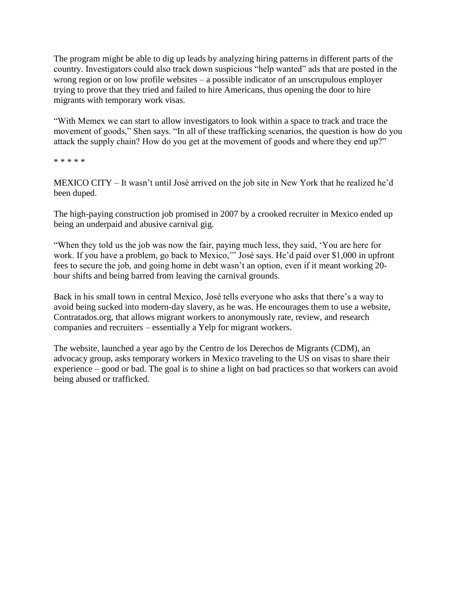The program might be able to dig up leads by analyzing hiring patterns in different parts of the country. Investigators could also track down suspicious "help wanted" ads that are posted in the wrong region or on low profile websites – a possible indicator of an unscrupulous employer trying to prove that they tried and failed to hire Americans, thus opening the door to hire migrants with temporary work visas.

"With Memex we can start to allow investigators to look within a space to track and trace the movement of goods," Shen says. "In all of these trafficking scenarios, the question is how do you attack the supply chain? How do you get at the movement of goods and where they end up?"

\* \* \* \* \*

MEXICO CITY – It wasn't until José arrived on the job site in New York that he realized he'd been duped.

The high-paying construction job promised in 2007 by a crooked recruiter in Mexico ended up being an underpaid and abusive carnival gig.

"When they told us the job was now the fair, paying much less, they said, 'You are here for work. If you have a problem, go back to Mexico,'" José says. He'd paid over \$1,000 in upfront fees to secure the job, and going home in debt wasn't an option, even if it meant working 20 hour shifts and being barred from leaving the carnival grounds.

Back in his small town in central Mexico, José tells everyone who asks that there's a way to avoid being sucked into modern-day slavery, as he was. He encourages them to use a website, Contratados.org, that allows migrant workers to anonymously rate, review, and research companies and recruiters – essentially a Yelp for migrant workers.

The website, launched a year ago by the Centro de los Derechos de Migrants (CDM), an advocacy group, asks temporary workers in Mexico traveling to the US on visas to share their experience – good or bad. The goal is to shine a light on bad practices so that workers can avoid being abused or trafficked.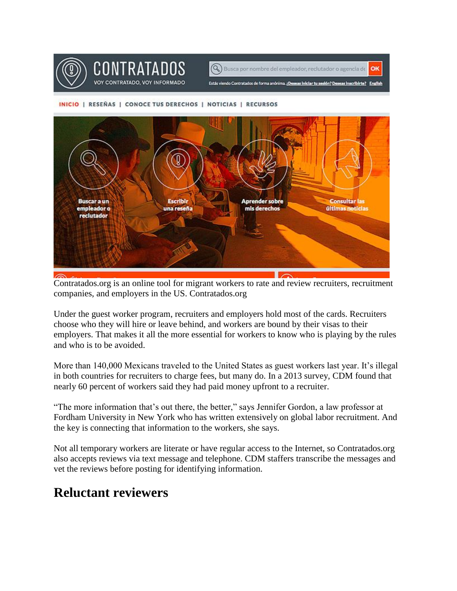



#### INICIO | RESEÑAS | CONOCE TUS DERECHOS | NOTICIAS | RECURSOS



Contratados.org is an online tool for migrant workers to rate and review recruiters, recruitment companies, and employers in the US. Contratados.org

Under the guest worker program, recruiters and employers hold most of the cards. Recruiters choose who they will hire or leave behind, and workers are bound by their visas to their employers. That makes it all the more essential for workers to know who is playing by the rules and who is to be avoided.

More than 140,000 Mexicans traveled to the United States as guest workers last year. It's illegal in both countries for recruiters to charge fees, but many do. In a 2013 survey, CDM found that nearly 60 percent of workers said they had paid money upfront to a recruiter.

"The more information that's out there, the better," says Jennifer Gordon, a law professor at Fordham University in New York who has written extensively on global labor recruitment. And the key is connecting that information to the workers, she says.

Not all temporary workers are literate or have regular access to the Internet, so Contratados.org also accepts reviews via text message and telephone. CDM staffers transcribe the messages and vet the reviews before posting for identifying information.

#### **Reluctant reviewers**